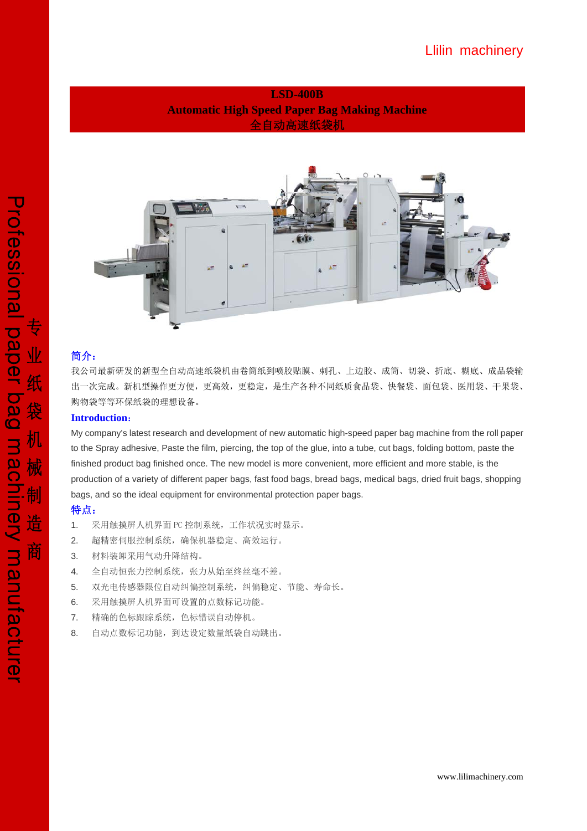**LSD-400B Automatic High Speed Paper Bag Making Machine**  全自动高速纸袋机



## 简介:

我公司最新研发的新型全自动高速纸袋机由卷筒纸到喷胶贴膜、刺孔、上边胶、成筒、切袋、折底、糊底、成品袋输 出一次完成。新机型操作更方便,更高效,更稳定,是生产各种不同纸质食品袋、快餐袋、面包袋、医用袋、干果袋、 购物袋等等环保纸袋的理想设备。

#### **Introduction**:

My company's latest research and development of new automatic high-speed paper bag machine from the roll paper to the Spray adhesive, Paste the film, piercing, the top of the glue, into a tube, cut bags, folding bottom, paste the finished product bag finished once. The new model is more convenient, more efficient and more stable, is the production of a variety of different paper bags, fast food bags, bread bags, medical bags, dried fruit bags, shopping bags, and so the ideal equipment for environmental protection paper bags.

## 特点:

- 1. 采用触摸屏人机界面 PC 控制系统,工作状况实时显示。
- 2. 超精密伺服控制系统,确保机器稳定、高效运行。
- 3. 材料装卸采用气动升降结构。
- 4. 全自动恒张力控制系统,张力从始至终丝毫不差。
- 5. 双光电传感器限位自动纠偏控制系统,纠偏稳定、节能、寿命长。
- 6. 采用触摸屏人机界面可设置的点数标记功能。
- 7. 精确的色标跟踪系统,色标错误自动停机。
- 8. 自动点数标记功能,到达设定数量纸袋自动跳出。